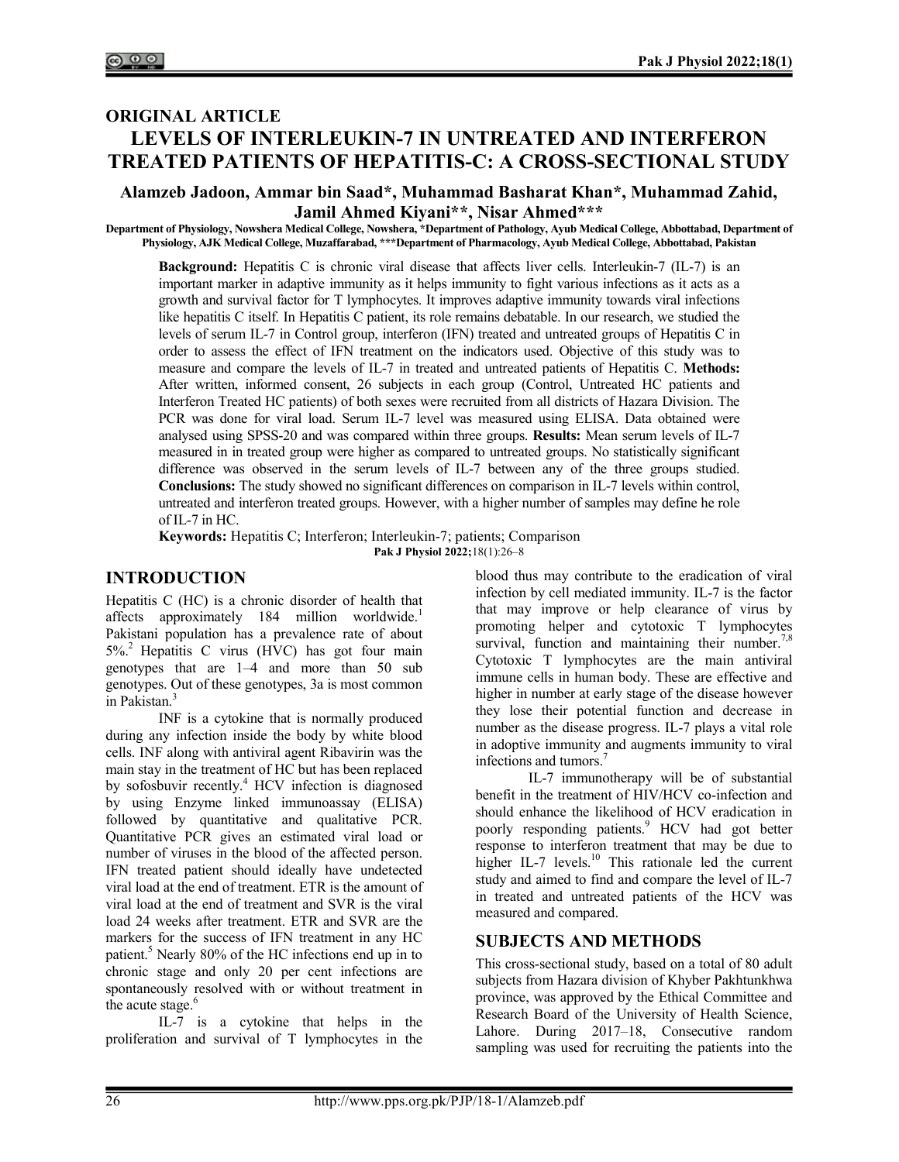# ORIGINAL ARTICLE LEVELS OF INTERLEUKIN-7 IN UNTREATED AND INTERFERON TREATED PATIENTS OF HEPATITIS-C: A CROSS-SECTIONAL STUDY

#### Alamzeb Jadoon, Ammar bin Saad\*, Muhammad Basharat Khan\*, Muhammad Zahid, Jamil Ahmed Kiyani\*\*, Nisar Ahmed\*\*\*

Department of Physiology, Nowshera Medical College, Nowshera, \*Department of Pathology, Ayub Medical College, Abbottabad, Department of Physiology, AJK Medical College, Muzaffarabad, \*\*\*Department of Pharmacology, Ayub Medical College, Abbottabad, Pakistan

Background: Hepatitis C is chronic viral disease that affects liver cells. Interleukin-7 (IL-7) is an important marker in adaptive immunity as it helps immunity to fight various infections as it acts as a growth and survival factor for T lymphocytes. It improves adaptive immunity towards viral infections like hepatitis C itself. In Hepatitis C patient, its role remains debatable. In our research, we studied the levels of serum IL-7 in Control group, interferon (IFN) treated and untreated groups of Hepatitis C in order to assess the effect of IFN treatment on the indicators used. Objective of this study was to measure and compare the levels of IL-7 in treated and untreated patients of Hepatitis C. Methods: After written, informed consent, 26 subjects in each group (Control, Untreated HC patients and Interferon Treated HC patients) of both sexes were recruited from all districts of Hazara Division. The PCR was done for viral load. Serum IL-7 level was measured using ELISA. Data obtained were analysed using SPSS-20 and was compared within three groups. Results: Mean serum levels of IL-7 measured in in treated group were higher as compared to untreated groups. No statistically significant difference was observed in the serum levels of IL-7 between any of the three groups studied. Conclusions: The study showed no significant differences on comparison in IL-7 levels within control, untreated and interferon treated groups. However, with a higher number of samples may define he role of IL-7 in HC.

Keywords: Hepatitis C; Interferon; Interleukin-7; patients; Comparison Pak J Physiol 2022;18(1):26-8

# INTRODUCTION

Hepatitis C (HC) is a chronic disorder of health that affects approximately 184 million worldwide.<sup>1</sup> Pakistani population has a prevalence rate of about  $5\%$ <sup>2</sup> Hepatitis C virus (HVC) has got four main genotypes that are 1–4 and more than 50 sub genotypes. Out of these genotypes, 3a is most common in Pakistan.<sup>3</sup>

INF is a cytokine that is normally produced during any infection inside the body by white blood cells. INF along with antiviral agent Ribavirin was the main stay in the treatment of HC but has been replaced by sofosbuvir recently.<sup>4</sup> HCV infection is diagnosed by using Enzyme linked immunoassay (ELISA) followed by quantitative and qualitative PCR. Quantitative PCR gives an estimated viral load or number of viruses in the blood of the affected person. IFN treated patient should ideally have undetected viral load at the end of treatment. ETR is the amount of viral load at the end of treatment and SVR is the viral load 24 weeks after treatment. ETR and SVR are the markers for the success of IFN treatment in any HC patient.<sup>5</sup> Nearly 80% of the HC infections end up in to chronic stage and only 20 per cent infections are spontaneously resolved with or without treatment in the acute stage.<sup>6</sup>

IL-7 is a cytokine that helps in the proliferation and survival of T lymphocytes in the blood thus may contribute to the eradication of viral infection by cell mediated immunity. IL-7 is the factor that may improve or help clearance of virus by promoting helper and cytotoxic T lymphocytes survival, function and maintaining their number.<sup>7,8</sup> Cytotoxic T lymphocytes are the main antiviral immune cells in human body. These are effective and higher in number at early stage of the disease however they lose their potential function and decrease in number as the disease progress. IL-7 plays a vital role in adoptive immunity and augments immunity to viral infections and tumors.<sup>7</sup>

IL-7 immunotherapy will be of substantial benefit in the treatment of HIV/HCV co-infection and should enhance the likelihood of HCV eradication in poorly responding patients.<sup>9</sup> HCV had got better response to interferon treatment that may be due to higher IL-7 levels.<sup>10</sup> This rationale led the current study and aimed to find and compare the level of IL-7 in treated and untreated patients of the HCV was measured and compared.

## SUBJECTS AND METHODS

This cross-sectional study, based on a total of 80 adult subjects from Hazara division of Khyber Pakhtunkhwa province, was approved by the Ethical Committee and Research Board of the University of Health Science, Lahore. During 2017–18, Consecutive random sampling was used for recruiting the patients into the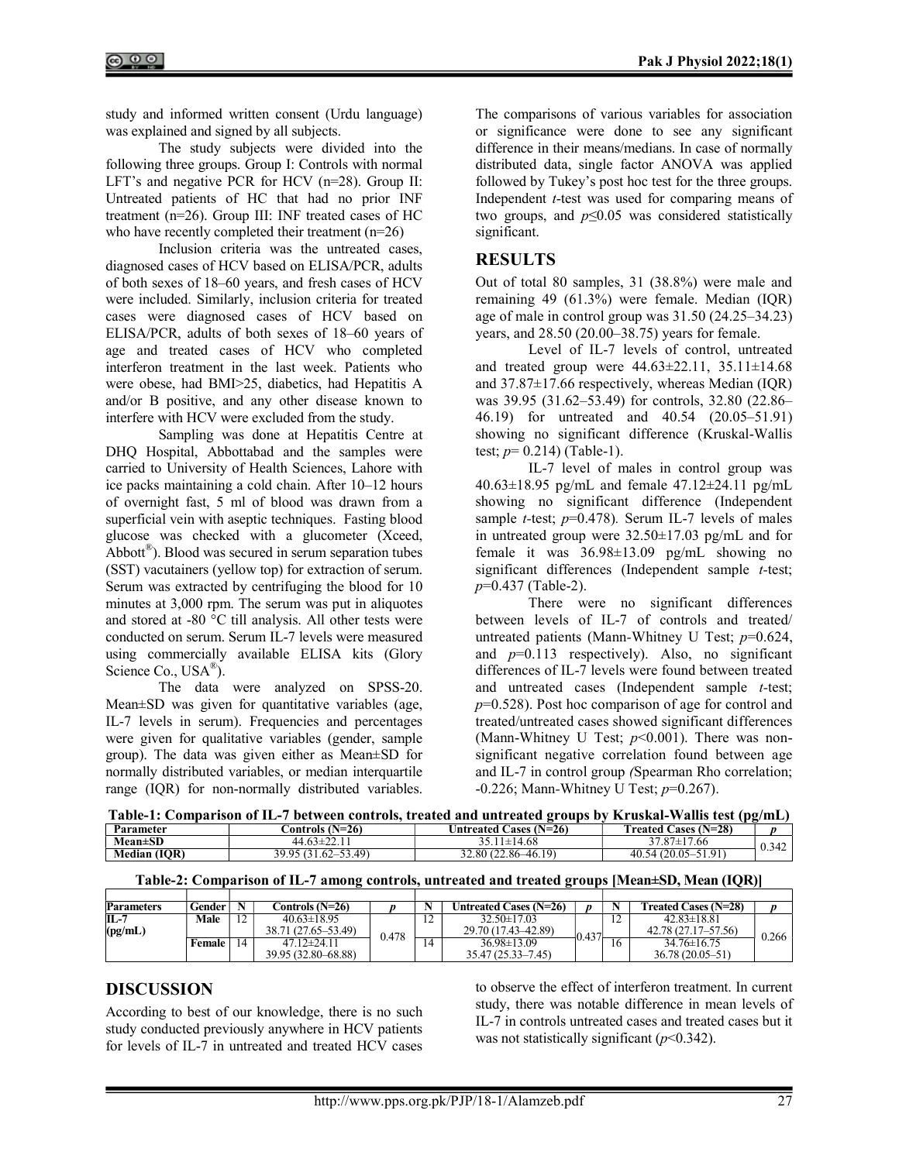study and informed written consent (Urdu language) was explained and signed by all subjects.

The study subjects were divided into the following three groups. Group I: Controls with normal LFT's and negative PCR for HCV (n=28). Group II: Untreated patients of HC that had no prior INF treatment (n=26). Group III: INF treated cases of HC who have recently completed their treatment (n=26)

Inclusion criteria was the untreated cases, diagnosed cases of HCV based on ELISA/PCR, adults of both sexes of 18–60 years, and fresh cases of HCV were included. Similarly, inclusion criteria for treated cases were diagnosed cases of HCV based on ELISA/PCR, adults of both sexes of 18–60 years of age and treated cases of HCV who completed interferon treatment in the last week. Patients who were obese, had BMI>25, diabetics, had Hepatitis A and/or B positive, and any other disease known to interfere with HCV were excluded from the study.

Sampling was done at Hepatitis Centre at DHQ Hospital, Abbottabad and the samples were carried to University of Health Sciences, Lahore with ice packs maintaining a cold chain. After 10–12 hours of overnight fast, 5 ml of blood was drawn from a superficial vein with aseptic techniques. Fasting blood glucose was checked with a glucometer (Xceed, Abbott® ). Blood was secured in serum separation tubes (SST) vacutainers (yellow top) for extraction of serum. Serum was extracted by centrifuging the blood for 10 minutes at 3,000 rpm. The serum was put in aliquotes and stored at -80 °C till analysis. All other tests were conducted on serum. Serum IL-7 levels were measured using commercially available ELISA kits (Glory Science Co., USA<sup>®</sup>).

The data were analyzed on SPSS-20. Mean±SD was given for quantitative variables (age, IL-7 levels in serum). Frequencies and percentages were given for qualitative variables (gender, sample group). The data was given either as Mean±SD for normally distributed variables, or median interquartile range (IQR) for non-normally distributed variables. The comparisons of various variables for association or significance were done to see any significant difference in their means/medians. In case of normally distributed data, single factor ANOVA was applied followed by Tukey's post hoc test for the three groups. Independent t-test was used for comparing means of two groups, and  $p \leq 0.05$  was considered statistically significant.

### **RESULTS**

Out of total 80 samples, 31 (38.8%) were male and remaining 49 (61.3%) were female. Median (IQR) age of male in control group was 31.50 (24.25–34.23) years, and 28.50 (20.00–38.75) years for female.

Level of IL-7 levels of control, untreated and treated group were  $44.63 \pm 22.11$ ,  $35.11 \pm 14.68$ and 37.87±17.66 respectively, whereas Median (IQR) was 39.95 (31.62–53.49) for controls, 32.80 (22.86– 46.19) for untreated and 40.54 (20.05–51.91) showing no significant difference (Kruskal-Wallis test;  $p= 0.214$ ) (Table-1).

IL-7 level of males in control group was 40.63±18.95 pg/mL and female 47.12±24.11 pg/mL showing no significant difference (Independent sample *t*-test;  $p=0.478$ ). Serum IL-7 levels of males in untreated group were 32.50±17.03 pg/mL and for female it was 36.98±13.09 pg/mL showing no significant differences (Independent sample t-test;  $p=0.437$  (Table-2).

There were no significant differences between levels of IL-7 of controls and treated/ untreated patients (Mann-Whitney U Test;  $p=0.624$ , and  $p=0.113$  respectively). Also, no significant differences of IL-7 levels were found between treated and untreated cases (Independent sample t-test;  $p=0.528$ ). Post hoc comparison of age for control and treated/untreated cases showed significant differences (Mann-Whitney U Test;  $p<0.001$ ). There was nonsignificant negative correlation found between age and IL-7 in control group (Spearman Rho correlation;  $-0.226$ ; Mann-Whitney U Test;  $p=0.267$ ).

Table-1: Comparison of IL-7 between controls, treated and untreated groups by Kruskal-Wallis test (pg/mL)

| Parameter       |                       | $(N=26)$<br>. ontrols       | Cases $(N=26)$<br>Untreated <b>(</b> | . .<br>$(N=28)$<br>reated<br>cases  |              |
|-----------------|-----------------------|-----------------------------|--------------------------------------|-------------------------------------|--------------|
| <b>Mean</b> ±SD |                       | 44.63±22.11                 | $35.11 \pm 14.68$                    | 37.87<br>17.66                      | 242<br>0.342 |
| Median<br>(IOR) | 20 Q5.<br><i>.,,,</i> | 49 <sup>5</sup><br>$1.02 -$ | 19)<br>32.80 (22.86-<br>$-46.1$      | $-51.91$<br>0 <sup>5</sup><br>40.54 |              |

|  |  |  | Table-2: Comparison of IL-7 among controls, untreated and treated groups [Mean±SD, Mean (IQR)] |  |  |  |
|--|--|--|------------------------------------------------------------------------------------------------|--|--|--|
|--|--|--|------------------------------------------------------------------------------------------------|--|--|--|

| <b>Parameters</b> | $Gender$ <sup>1</sup> |             | C <b>ontrols (N=26)</b> |       |  | Untreated Cases (N=26) | n     |   | Treated Cases (N=28)   | $\mathbf{r}$ |
|-------------------|-----------------------|-------------|-------------------------|-------|--|------------------------|-------|---|------------------------|--------------|
| $IL-7$            | Male                  | $1^{\circ}$ | $40.63 \pm 18.95$       |       |  | $32.50 \pm 17.03$      |       | ∸ | $42.83\pm18.81$        |              |
| (pg/mL)           |                       |             | 38.71 (27.65–53.49)     | 0.478 |  | 29.70 (17.43–42.89)    | 0.437 |   | $42.78(27.17 - 57.56)$ | 0.266        |
|                   | Female                | 14          | $47.12 \pm 24.11$       |       |  | $36.98 \pm 13.09$      |       |   | $34.76 \pm 16.75$      |              |
|                   |                       |             | 39.95 (32.80–68.88)     |       |  | 35.47 (25.33–7.45)     |       |   | 36.78 (20.05–51)       |              |

### DISCUSSION

According to best of our knowledge, there is no such study conducted previously anywhere in HCV patients for levels of IL-7 in untreated and treated HCV cases to observe the effect of interferon treatment. In current study, there was notable difference in mean levels of IL-7 in controls untreated cases and treated cases but it was not statistically significant  $(p<0.342)$ .